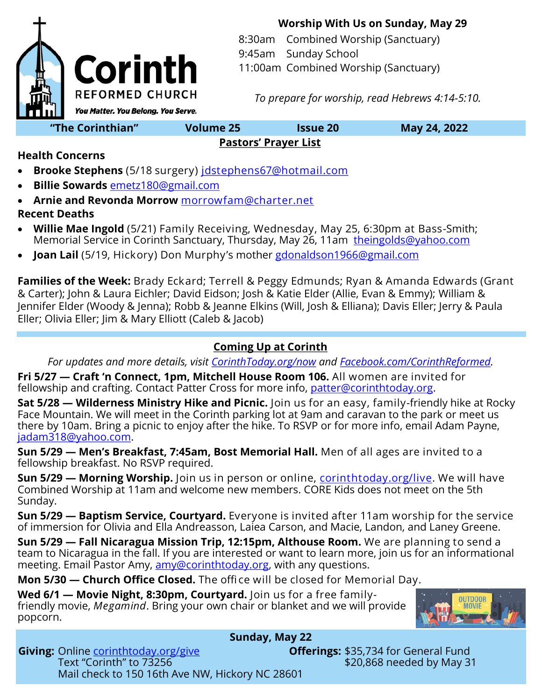

**Worship With Us on Sunday, May 29**

8:30am Combined Worship (Sanctuary)

9:45am Sunday School

11:00am Combined Worship (Sanctuary)

*To prepare for worship, read Hebrews 4:14-5:10.*

### **Pastors' Prayer List**

**Health Concerns**

- **Brooke Stephens** (5/18 surgery) [jdstephens67@hotmail.com](mailto:jdstephens67@hotmail.com)
- **Billie Sowards** [emetz180@gmail.com](mailto:emetz180@gmail.com)
- **Arnie and Revonda Morrow** [morrowfam@charter.net](mailto:morrowfam@charter.net) **Recent Deaths**
- **Willie Mae Ingold** (5/21) Family Receiving, Wednesday, May 25, 6:30pm at Bass-Smith; Memorial Service in Corinth Sanctuary, Thursday, May 26, 11am [theingolds@yahoo.com](mailto:theingolds@yahoo.com)
- **Joan Lail** (5/19, Hickory) Don Murphy's mother [gdonaldson1966@gmail.com](mailto:gdonaldson1966@gmail.com)

**Families of the Week:** Brady Eckard; Terrell & Peggy Edmunds; Ryan & Amanda Edwards (Grant & Carter); John & Laura Eichler; David Eidson; Josh & Katie Elder (Allie, Evan & Emmy); William & Jennifer Elder (Woody & Jenna); Robb & Jeanne Elkins (Will, Josh & Elliana); Davis Eller; Jerry & Paula Eller; Olivia Eller; Jim & Mary Elliott (Caleb & Jacob)

## **Coming Up at Corinth**

*For updates and more details, visit [CorinthToday.org/now](http://www.corinthtoday.org/now) and [Facebook.com/CorinthReformed.](http://www.Facebook.com/CorinthReformed)* 

**Fri 5/27 — Craft 'n Connect, 1pm, Mitchell House Room 106.** All women are invited for fellowship and crafting. Contact Patter Cross for more info, [patter@corinthtoday.org.](mailto:patter@corinthtoday.org)

**Sat 5/28 — Wilderness Ministry Hike and Picnic.** Join us for an easy, family-friendly hike at Rocky Face Mountain. We will meet in the Corinth parking lot at 9am and caravan to the park or meet us there by 10am. Bring a picnic to enjoy after the hike. To RSVP or for more info, email Adam Payne, [jadam318@yahoo.com.](mailto:jadam318@yahoo.com)

**Sun 5/29 — Men's Breakfast, 7:45am, Bost Memorial Hall.** Men of all ages are invited to a fellowship breakfast. No RSVP required.

**Sun 5/29 — Morning Worship.** Join us in person or online, *corinthtoday.org/live*. We will have Combined Worship at 11am and welcome new members. CORE Kids does not meet on the 5th Sunday.

**Sun 5/29 — Baptism Service, Courtyard.** Everyone is invited after 11am worship for the service of immersion for Olivia and Ella Andreasson, Laiea Carson, and Macie, Landon, and Laney Greene.

**Sun 5/29 — Fall Nicaragua Mission Trip, 12:15pm, Althouse Room.** We are planning to send a team to Nicaragua in the fall. If you are interested or want to learn more, join us for an informational meeting. Email Pastor Amy, [amy@corinthtoday.org,](mailto:amy@corinthtoday.org) with any questions.

**Mon 5/30 — Church Office Closed.** The offi ce will be closed for Memorial Day.

**Wed 6/1 — Movie Night, 8:30pm, Courtyard.** Join us for a free familyfriendly movie, *Megamind*. Bring your own chair or blanket and we will provide popcorn.



#### **Sunday, May 22 Giving:** Online *corinthtoday.org/give* **Offerings:** \$35,734 for General Fund Text "Corinth" to 73256 **Text 10 and 200 and 200 and 200 and 31** Mail check to 150 16th Ave NW, Hickory NC 28601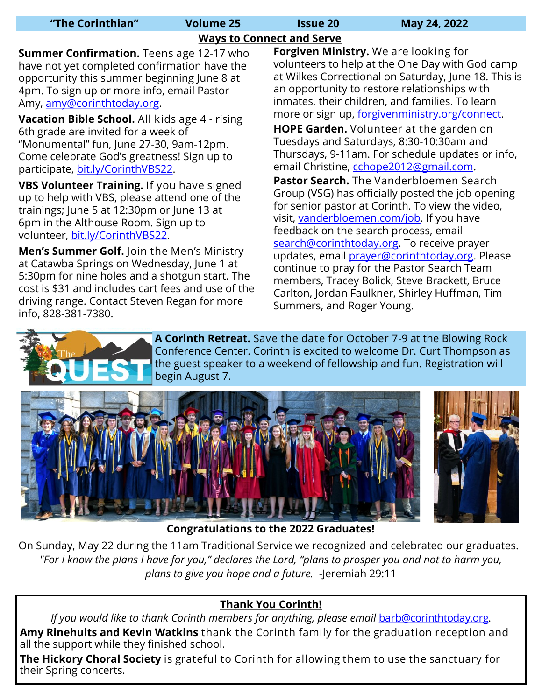| "The Corinthian" |  |  |  |  |  |
|------------------|--|--|--|--|--|
|------------------|--|--|--|--|--|

**"The Corinthian" Volume 25 Issue 20 May 24, 2022**

### **Ways to Connect and Serve**

**Summer Confirmation.** Teens age 12-17 who have not yet completed confirmation have the opportunity this summer beginning June 8 at 4pm. To sign up or more info, email Pastor Amy, [amy@corinthtoday.org.](mailto:amy@corinthtoday.org)

**Vacation Bible School.** All kids age 4 - rising 6th grade are invited for a week of "Monumental" fun, June 27-30, 9am-12pm. Come celebrate God's greatness! Sign up to participate, [bit.ly/CorinthVBS22.](https://bit.ly/CorinthVBS22)

**VBS Volunteer Training.** If you have signed up to help with VBS, please attend one of the trainings; June 5 at 12:30pm or June 13 at 6pm in the Althouse Room. Sign up to volunteer, [bit.ly/CorinthVBS22.](bit.ly/CorinthVBS22)

**Men's Summer Golf.** Join the Men's Ministry at Catawba Springs on Wednesday, June 1 at 5:30pm for nine holes and a shotgun start. The cost is \$31 and includes cart fees and use of the driving range. Contact Steven Regan for more info, 828-381-7380.

**Forgiven Ministry.** We are looking for volunteers to help at the One Day with God camp at Wilkes Correctional on Saturday, June 18. This is an opportunity to restore relationships with inmates, their children, and families. To learn more or sign up, [forgivenministry.org/connect.](http://www.forgivenministry.org/connect) 

**HOPE Garden.** Volunteer at the garden on Tuesdays and Saturdays, 8:30-10:30am and Thursdays, 9-11am. For schedule updates or info, email Christine, [cchope2012@gmail.com.](mailto:cchope2012@gmail.com)

**Pastor Search.** The Vanderbloemen Search Group (VSG) has officially posted the job opening for senior pastor at Corinth. To view the video, visit, [vanderbloemen.com/job.](https://www.vanderbloemen.com/job/corinth-reformed-church-senior-pastor) If you have feedback on the search process, email search@corinthtoday.org. To receive prayer updates, email *prayer@corinthtoday.org*. Please continue to pray for the Pastor Search Team members, Tracey Bolick, Steve Brackett, Bruce Carlton, Jordan Faulkner, Shirley Huffman, Tim Summers, and Roger Young.



**A Corinth Retreat.** Save the date for October 7-9 at the Blowing Rock Conference Center. Corinth is excited to welcome Dr. Curt Thompson as the guest speaker to a weekend of fellowship and fun. Registration will begin August 7.





**Congratulations to the 2022 Graduates!** 

On Sunday, May 22 during the 11am Traditional Service we recognized and celebrated our graduates. *"For I know the plans I have for you," declares the Lord, "plans to prosper you and not to harm you, plans to give you hope and a future.* -Jeremiah 29:11

## **Thank You Corinth!**

*If you would like to thank Corinth members for anything, please email [barb@](mailto:barb@corinthtoday.org)corinthtoday.org.* **Amy Rinehults and Kevin Watkins** thank the Corinth family for the graduation reception and all the support while they finished school.

**The Hickory Choral Society** is grateful to Corinth for allowing them to use the sanctuary for their Spring concerts.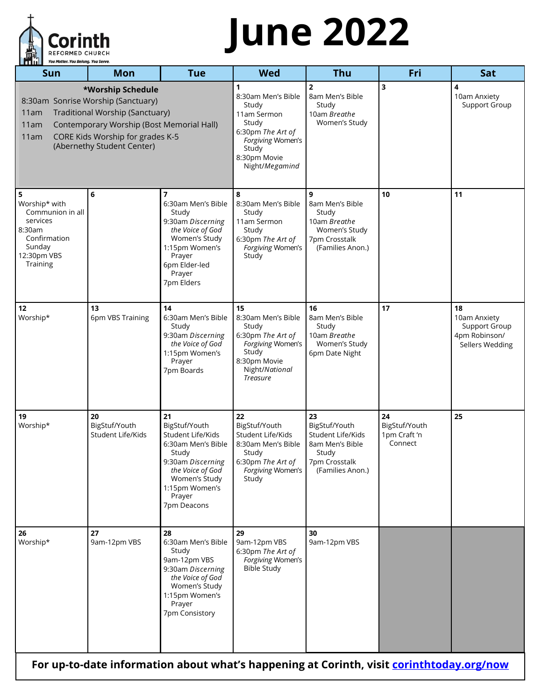

# **June 2022**

| Sun<br>Mon<br>*Worship Schedule<br>8:30am Sonrise Worship (Sanctuary)<br>Traditional Worship (Sanctuary)<br>11am<br>11am<br>CORE Kids Worship for grades K-5<br>11am<br>(Abernethy Student Center)<br>6<br>5<br>Worship* with<br>Communion in all<br>services<br>8:30am | <b>Tue</b><br>Contemporary Worship (Bost Memorial Hall)<br>7<br>6:30am Men's Bible<br>Study<br>9:30am Discerning<br>the Voice of God<br>Women's Study                        | <b>Wed</b><br>8:30am Men's Bible<br>Study<br>11am Sermon<br>Study<br>6:30pm The Art of<br>Forgiving Women's<br>Study<br>8:30pm Movie<br>Night/Megamind<br>8<br>8:30am Men's Bible<br>Study | <b>Thu</b><br>$\overline{2}$<br>8am Men's Bible<br>Study<br>10am Breathe<br>Women's Study<br>9            | Fri<br>3<br>10                                 | Sat<br>4<br>10am Anxiety<br>Support Group                               |
|-------------------------------------------------------------------------------------------------------------------------------------------------------------------------------------------------------------------------------------------------------------------------|------------------------------------------------------------------------------------------------------------------------------------------------------------------------------|--------------------------------------------------------------------------------------------------------------------------------------------------------------------------------------------|-----------------------------------------------------------------------------------------------------------|------------------------------------------------|-------------------------------------------------------------------------|
|                                                                                                                                                                                                                                                                         |                                                                                                                                                                              |                                                                                                                                                                                            |                                                                                                           |                                                |                                                                         |
|                                                                                                                                                                                                                                                                         |                                                                                                                                                                              |                                                                                                                                                                                            |                                                                                                           |                                                |                                                                         |
| Confirmation<br>Sunday<br>12:30pm VBS<br>Training                                                                                                                                                                                                                       | 1:15pm Women's<br>Prayer<br>6pm Elder-led<br>Prayer<br>7pm Elders                                                                                                            | 11am Sermon<br>Study<br>6:30pm The Art of<br>Forgiving Women's<br>Study                                                                                                                    | 8am Men's Bible<br>Study<br>10am Breathe<br>Women's Study<br>7pm Crosstalk<br>(Families Anon.)            |                                                | 11                                                                      |
| 13<br>12<br>Worship*<br>6pm VBS Training                                                                                                                                                                                                                                | 14<br>6:30am Men's Bible<br>Study<br>9:30am Discerning<br>the Voice of God<br>1:15pm Women's<br>Prayer<br>7pm Boards                                                         | 15<br>8:30am Men's Bible<br>Study<br>6:30pm The Art of<br>Forgiving Women's<br>Study<br>8:30pm Movie<br>Night/National<br><b>Treasure</b>                                                  | 16<br>8am Men's Bible<br>Study<br>10am Breathe<br>Women's Study<br>6pm Date Night                         | 17                                             | 18<br>10am Anxiety<br>Support Group<br>4pm Robinson/<br>Sellers Wedding |
| 19<br>20<br>Worship*<br>BigStuf/Youth<br>Student Life/Kids                                                                                                                                                                                                              | 21<br>BigStuf/Youth<br>Student Life/Kids<br>6:30am Men's Bible<br>Study<br>9:30am Discerning<br>the Voice of God<br>Women's Study<br>1:15pm Women's<br>Prayer<br>7pm Deacons | 22<br>BigStuf/Youth<br>Student Life/Kids<br>8:30am Men's Bible<br>Study<br>6:30pm The Art of<br>Forgiving Women's<br>Study                                                                 | 23<br>BigStuf/Youth<br>Student Life/Kids<br>8am Men's Bible<br>Study<br>7pm Crosstalk<br>(Families Anon.) | 24<br>BigStuf/Youth<br>1pm Craft 'n<br>Connect | 25                                                                      |
| 27<br>26<br>Worship*<br>9am-12pm VBS                                                                                                                                                                                                                                    | 28<br>6:30am Men's Bible<br>Study<br>9am-12pm VBS<br>9:30am Discerning<br>the Voice of God<br>Women's Study<br>1:15pm Women's<br>Prayer<br>7pm Consistory                    | 29<br>9am-12pm VBS<br>6:30pm The Art of<br>Forgiving Women's<br><b>Bible Study</b>                                                                                                         | 30<br>9am-12pm VBS                                                                                        |                                                |                                                                         |

**For up-to-date information about what's happening at Corinth, visit<corinthtoday.org/now>**